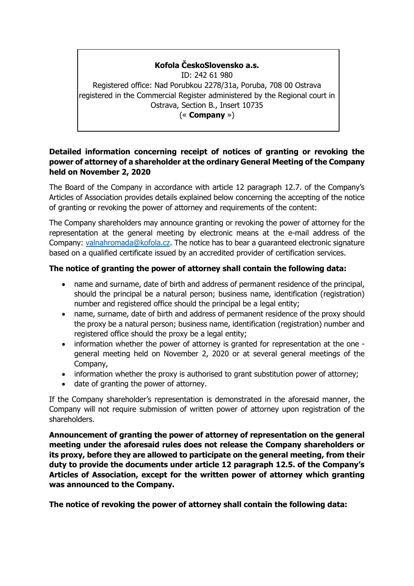## **Kofola ČeskoSlovensko a.s.**

ID: 242 61 980 Registered office: Nad Porubkou 2278/31a, Poruba, 708 00 Ostrava registered in the Commercial Register administered by the Regional court in Ostrava, Section B., Insert 10735 (« **Company** »)

## **Detailed information concerning receipt of notices of granting or revoking the power of attorney of a shareholder at the ordinary General Meeting of the Company held on November 2, 2020**

The Board of the Company in accordance with article 12 paragraph 12.7. of the Company's Articles of Association provides details explained below concerning the accepting of the notice of granting or revoking the power of attorney and requirements of the content:

The Company shareholders may announce granting or revoking the power of attorney for the representation at the general meeting by electronic means at the e-mail address of the Company: [valnahromada@kofola.cz.](mailto:valnahromada@kofola.cz) The notice has to bear a guaranteed electronic signature based on a qualified certificate issued by an accredited provider of certification services.

## **The notice of granting the power of attorney shall contain the following data:**

- name and surname, date of birth and address of permanent residence of the principal, should the principal be a natural person; business name, identification (registration) number and registered office should the principal be a legal entity;
- name, surname, date of birth and address of permanent residence of the proxy should the proxy be a natural person; business name, identification (registration) number and registered office should the proxy be a legal entity;
- information whether the power of attorney is granted for representation at the one general meeting held on November 2, 2020 or at several general meetings of the Company,
- information whether the proxy is authorised to grant substitution power of attorney;
- date of granting the power of attorney.

If the Company shareholder's representation is demonstrated in the aforesaid manner, the Company will not require submission of written power of attorney upon registration of the shareholders.

**Announcement of granting the power of attorney of representation on the general meeting under the aforesaid rules does not release the Company shareholders or its proxy, before they are allowed to participate on the general meeting, from their duty to provide the documents under article 12 paragraph 12.5. of the Company's Articles of Association, except for the written power of attorney which granting was announced to the Company.**

**The notice of revoking the power of attorney shall contain the following data:**